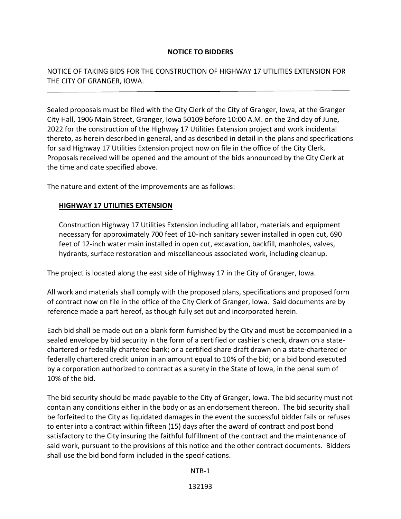## **NOTICE TO BIDDERS**

NOTICE OF TAKING BIDS FOR THE CONSTRUCTION OF HIGHWAY 17 UTILITIES EXTENSION FOR THE CITY OF GRANGER, IOWA.

Sealed proposals must be filed with the City Clerk of the City of Granger, Iowa, at the Granger City Hall, 1906 Main Street, Granger, Iowa 50109 before 10:00 A.M. on the 2nd day of June, 2022 for the construction of the Highway 17 Utilities Extension project and work incidental thereto, as herein described in general, and as described in detail in the plans and specifications for said Highway 17 Utilities Extension project now on file in the office of the City Clerk. Proposals received will be opened and the amount of the bids announced by the City Clerk at the time and date specified above.

The nature and extent of the improvements are as follows:

## **HIGHWAY 17 UTILITIES EXTENSION**

 $\overline{a}$ 

Construction Highway 17 Utilities Extension including all labor, materials and equipment necessary for approximately 700 feet of 10-inch sanitary sewer installed in open cut, 690 feet of 12-inch water main installed in open cut, excavation, backfill, manholes, valves, hydrants, surface restoration and miscellaneous associated work, including cleanup.

The project is located along the east side of Highway 17 in the City of Granger, Iowa.

All work and materials shall comply with the proposed plans, specifications and proposed form of contract now on file in the office of the City Clerk of Granger, Iowa. Said documents are by reference made a part hereof, as though fully set out and incorporated herein.

Each bid shall be made out on a blank form furnished by the City and must be accompanied in a sealed envelope by bid security in the form of a certified or cashier's check, drawn on a statechartered or federally chartered bank; or a certified share draft drawn on a state-chartered or federally chartered credit union in an amount equal to 10% of the bid; or a bid bond executed by a corporation authorized to contract as a surety in the State of Iowa, in the penal sum of 10% of the bid.

The bid security should be made payable to the City of Granger, Iowa. The bid security must not contain any conditions either in the body or as an endorsement thereon. The bid security shall be forfeited to the City as liquidated damages in the event the successful bidder fails or refuses to enter into a contract within fifteen (15) days after the award of contract and post bond satisfactory to the City insuring the faithful fulfillment of the contract and the maintenance of said work, pursuant to the provisions of this notice and the other contract documents. Bidders shall use the bid bond form included in the specifications.

NTB-1

132193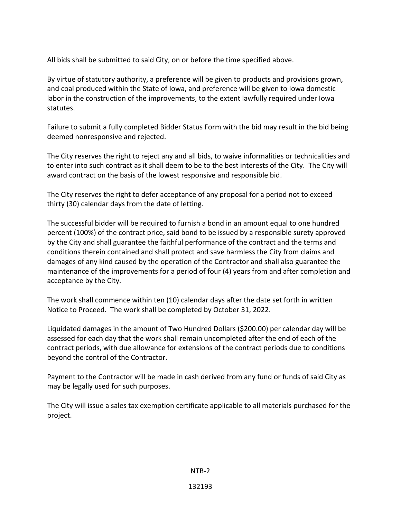All bids shall be submitted to said City, on or before the time specified above.

By virtue of statutory authority, a preference will be given to products and provisions grown, and coal produced within the State of Iowa, and preference will be given to Iowa domestic labor in the construction of the improvements, to the extent lawfully required under Iowa statutes.

Failure to submit a fully completed Bidder Status Form with the bid may result in the bid being deemed nonresponsive and rejected.

The City reserves the right to reject any and all bids, to waive informalities or technicalities and to enter into such contract as it shall deem to be to the best interests of the City. The City will award contract on the basis of the lowest responsive and responsible bid.

The City reserves the right to defer acceptance of any proposal for a period not to exceed thirty (30) calendar days from the date of letting.

The successful bidder will be required to furnish a bond in an amount equal to one hundred percent (100%) of the contract price, said bond to be issued by a responsible surety approved by the City and shall guarantee the faithful performance of the contract and the terms and conditions therein contained and shall protect and save harmless the City from claims and damages of any kind caused by the operation of the Contractor and shall also guarantee the maintenance of the improvements for a period of four (4) years from and after completion and acceptance by the City.

The work shall commence within ten (10) calendar days after the date set forth in written Notice to Proceed. The work shall be completed by October 31, 2022.

Liquidated damages in the amount of Two Hundred Dollars (\$200.00) per calendar day will be assessed for each day that the work shall remain uncompleted after the end of each of the contract periods, with due allowance for extensions of the contract periods due to conditions beyond the control of the Contractor.

Payment to the Contractor will be made in cash derived from any fund or funds of said City as may be legally used for such purposes.

The City will issue a sales tax exemption certificate applicable to all materials purchased for the project.